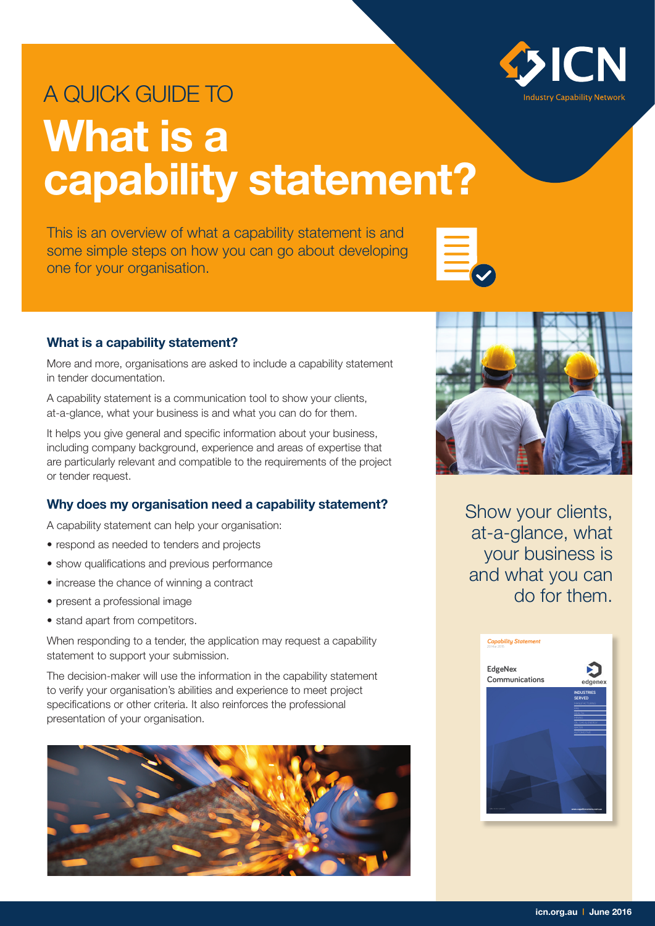

# A QUICK GUIDE TO **What is a capability statement?**

This is an overview of what a capability statement is and some simple steps on how you can go about developing one for your organisation.



## **What is a capability statement?**

More and more, organisations are asked to include a capability statement in tender documentation.

A capability statement is a communication tool to show your clients, at-a-glance, what your business is and what you can do for them.

It helps you give general and specific information about your business, including company background, experience and areas of expertise that are particularly relevant and compatible to the requirements of the project or tender request.

# **Why does my organisation need a capability statement?**

A capability statement can help your organisation:

- respond as needed to tenders and projects
- show qualifications and previous performance
- increase the chance of winning a contract
- present a professional image
- stand apart from competitors.

When responding to a tender, the application may request a capability statement to support your submission.

The decision-maker will use the information in the capability statement to verify your organisation's abilities and experience to meet project specifications or other criteria. It also reinforces the professional presentation of your organisation.





Show your clients, at-a-glance, what your business is and what you can do for them.